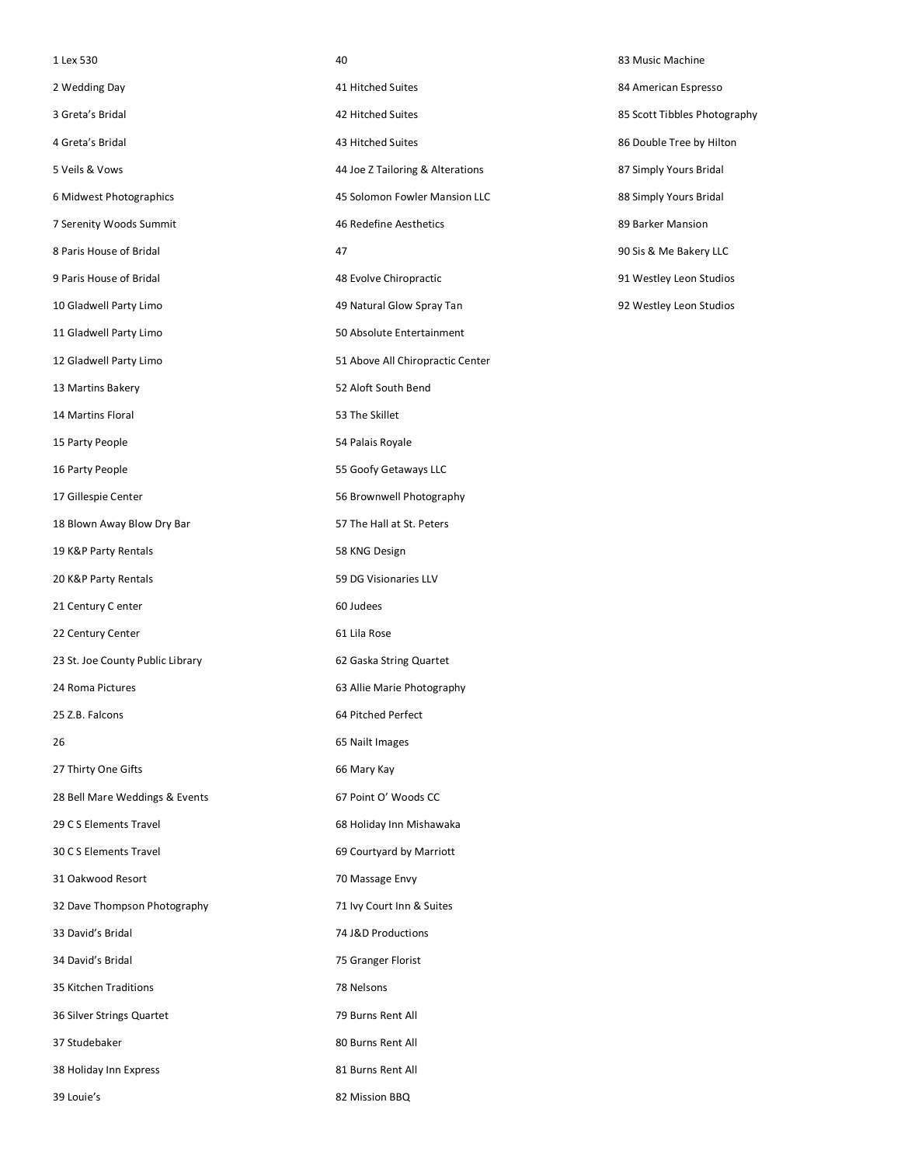## Lex 530 Wedding Day Greta's Bridal Greta's Bridal Veils & Vows Midwest Photographics Serenity Woods Summit Paris House of Bridal Paris House of Bridal Gladwell Party Limo Gladwell Party Limo Gladwell Party Limo Martins Bakery Martins Floral Party People Party People Gillespie Center Blown Away Blow Dry Bar K&P Party Rentals K&P Party Rentals Century C enter Century Center St. Joe County Public Library Roma Pictures Z.B. Falcons Thirty One Gifts Bell Mare Weddings & Events C S Elements Travel C S Elements Travel Oakwood Resort Dave Thompson Photography David's Bridal David's Bridal Kitchen Traditions Silver Strings Quartet Studebaker Holiday Inn Express

Louie's

 Hitched Suites Hitched Suites Hitched Suites Joe Z Tailoring & Alterations Solomon Fowler Mansion LLC Redefine Aesthetics Evolve Chiropractic Natural Glow Spray Tan Absolute Entertainment Above All Chiropractic Center Aloft South Bend The Skillet Palais Royale Goofy Getaways LLC Brownwell Photography The Hall at St. Peters KNG Design DG Visionaries LLV Judees Lila Rose Gaska String Quartet Allie Marie Photography Pitched Perfect Nailt Images Mary Kay Point O' Woods CC Holiday Inn Mishawaka Courtyard by Marriott Massage Envy Ivy Court Inn & Suites J&D Productions Granger Florist Nelsons Burns Rent All Burns Rent All Burns Rent All

Mission BBQ

 Music Machine American Espresso Scott Tibbles Photography Double Tree by Hilton Simply Yours Bridal Simply Yours Bridal Barker Mansion Sis & Me Bakery LLC Westley Leon Studios Westley Leon Studios